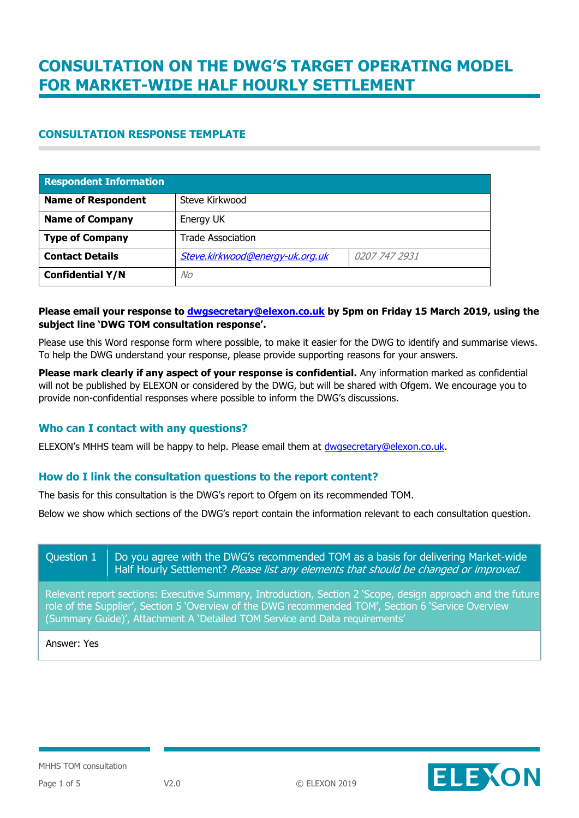### **CONSULTATION RESPONSE TEMPLATE**

| <b>Respondent Information</b> |                                 |               |
|-------------------------------|---------------------------------|---------------|
| <b>Name of Respondent</b>     | Steve Kirkwood                  |               |
| <b>Name of Company</b>        | Energy UK                       |               |
| <b>Type of Company</b>        | <b>Trade Association</b>        |               |
| <b>Contact Details</b>        | Steve.kirkwood@energy-uk.org.uk | 0207 747 2931 |
| <b>Confidential Y/N</b>       | No                              |               |

#### **Please email your response to [dwgsecretary@elexon.co.uk](mailto:dwgsecretary@elexon.co.uk) by 5pm on Friday 15 March 2019, using the subject line 'DWG TOM consultation response'.**

Please use this Word response form where possible, to make it easier for the DWG to identify and summarise views. To help the DWG understand your response, please provide supporting reasons for your answers.

**Please mark clearly if any aspect of your response is confidential.** Any information marked as confidential will not be published by ELEXON or considered by the DWG, but will be shared with Ofgem. We encourage you to provide non-confidential responses where possible to inform the DWG's discussions.

#### **Who can I contact with any questions?**

ELEXON's MHHS team will be happy to help. Please email them at [dwgsecretary@elexon.co.uk.](mailto:dwgsecretary@elexon.co.uk)

#### **How do I link the consultation questions to the report content?**

The basis for this consultation is the DWG's report to Ofgem on its recommended TOM.

Below we show which sections of the DWG's report contain the information relevant to each consultation question.

Question  $1 \parallel$  Do you agree with the DWG's recommended TOM as a basis for delivering Market-wide Half Hourly Settlement? Please list any elements that should be changed or improved.

Relevant report sections: Executive Summary, Introduction, Section 2 'Scope, design approach and the future role of the Supplier', Section 5 'Overview of the DWG recommended TOM', Section 6 'Service Overview (Summary Guide)', Attachment A 'Detailed TOM Service and Data requirements'

Answer: Yes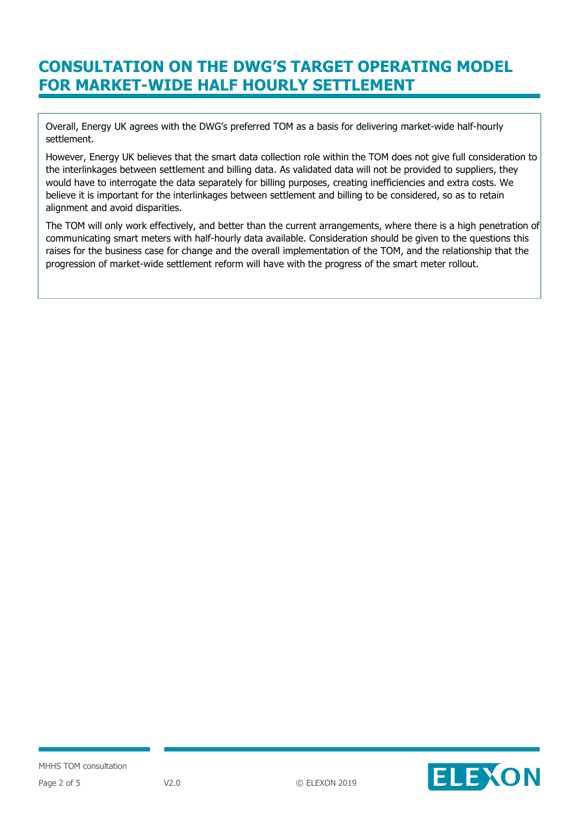Overall, Energy UK agrees with the DWG's preferred TOM as a basis for delivering market-wide half-hourly settlement.

However, Energy UK believes that the smart data collection role within the TOM does not give full consideration to the interlinkages between settlement and billing data. As validated data will not be provided to suppliers, they would have to interrogate the data separately for billing purposes, creating inefficiencies and extra costs. We believe it is important for the interlinkages between settlement and billing to be considered, so as to retain alignment and avoid disparities.

The TOM will only work effectively, and better than the current arrangements, where there is a high penetration of communicating smart meters with half-hourly data available. Consideration should be given to the questions this raises for the business case for change and the overall implementation of the TOM, and the relationship that the progression of market-wide settlement reform will have with the progress of the smart meter rollout.

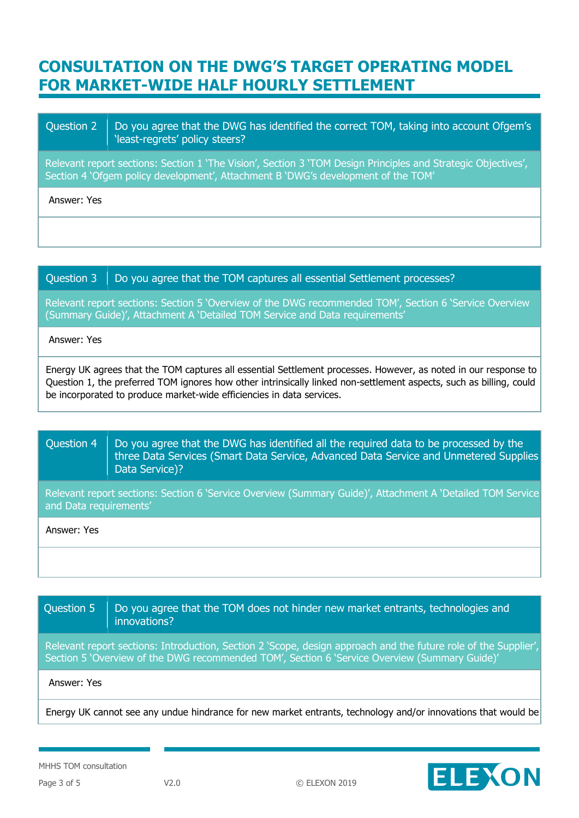### Question 2  $\parallel$  Do you agree that the DWG has identified the correct TOM, taking into account Ofgem's 'least-regrets' policy steers?

Relevant report sections: Section 1 'The Vision', Section 3 'TOM Design Principles and Strategic Objectives', Section 4 'Ofgem policy development', Attachment B 'DWG's development of the TOM'

Answer: Yes

### Question  $3$   $\Box$  Do you agree that the TOM captures all essential Settlement processes?

Relevant report sections: Section 5 'Overview of the DWG recommended TOM', Section 6 'Service Overview (Summary Guide)', Attachment A 'Detailed TOM Service and Data requirements'

#### Answer: Yes

Energy UK agrees that the TOM captures all essential Settlement processes. However, as noted in our response to Question 1, the preferred TOM ignores how other intrinsically linked non-settlement aspects, such as billing, could be incorporated to produce market-wide efficiencies in data services.

## Question 4  $\parallel$  Do you agree that the DWG has identified all the required data to be processed by the three Data Services (Smart Data Service, Advanced Data Service and Unmetered Supplies Data Service)? Relevant report sections: Section 6 'Service Overview (Summary Guide)', Attachment A 'Detailed TOM Service and Data requirements' Answer: Yes

| Question 5                                                                                                                                                                                                       | Do you agree that the TOM does not hinder new market entrants, technologies and<br>innovations? |
|------------------------------------------------------------------------------------------------------------------------------------------------------------------------------------------------------------------|-------------------------------------------------------------------------------------------------|
| Relevant report sections: Introduction, Section 2 'Scope, design approach and the future role of the Supplier',<br>Section 5 'Overview of the DWG recommended TOM', Section 6 'Service Overview (Summary Guide)' |                                                                                                 |
| Answer: Yes                                                                                                                                                                                                      |                                                                                                 |
| Energy UK cannot see any undue hindrance for new market entrants, technology and/or innovations that would be                                                                                                    |                                                                                                 |

MHHS TOM consultation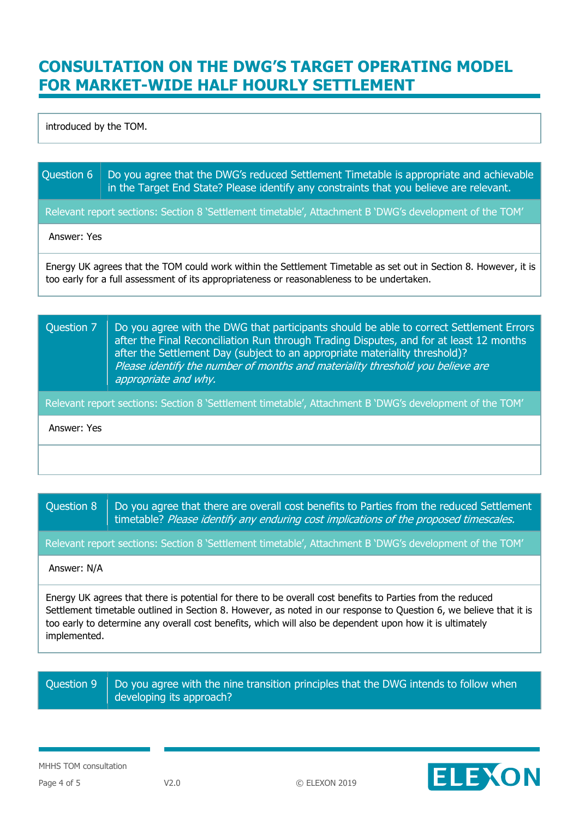introduced by the TOM.

| Question 6   Do you agree that the DWG's reduced Settlement Timetable is appropriate and achievable |
|-----------------------------------------------------------------------------------------------------|
| in the Target End State? Please identify any constraints that you believe are relevant.             |

Relevant report sections: Section 8 'Settlement timetable', Attachment B 'DWG's development of the TOM'

Answer: Yes

Energy UK agrees that the TOM could work within the Settlement Timetable as set out in Section 8. However, it is too early for a full assessment of its appropriateness or reasonableness to be undertaken.

### Question  $7$  Do you agree with the DWG that participants should be able to correct Settlement Errors after the Final Reconciliation Run through Trading Disputes, and for at least 12 months after the Settlement Day (subject to an appropriate materiality threshold)? Please identify the number of months and materiality threshold you believe are appropriate and why.

Relevant report sections: Section 8 'Settlement timetable', Attachment B 'DWG's development of the TOM'

Answer: Yes

Question  $8$  Do you agree that there are overall cost benefits to Parties from the reduced Settlement timetable? Please identify any enduring cost implications of the proposed timescales.

Relevant report sections: Section 8 'Settlement timetable', Attachment B 'DWG's development of the TOM'

#### Answer: N/A

Energy UK agrees that there is potential for there to be overall cost benefits to Parties from the reduced Settlement timetable outlined in Section 8. However, as noted in our response to Question 6, we believe that it is too early to determine any overall cost benefits, which will also be dependent upon how it is ultimately implemented.

Question 9  $\parallel$  Do you agree with the nine transition principles that the DWG intends to follow when developing its approach?

MHHS TOM consultation